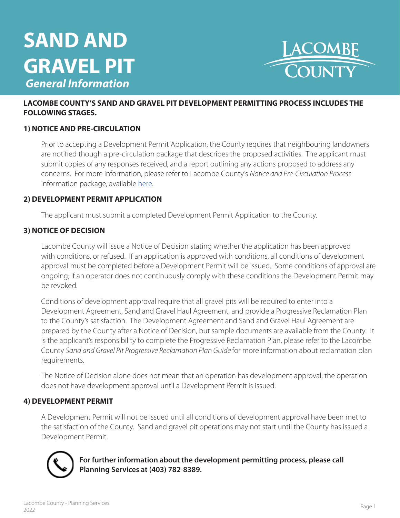# **SAND AND GRAVEL PIT**  *General Information*



#### **LACOMBE COUNTY'S SAND AND GRAVEL PIT DEVELOPMENT PERMITTING PROCESS INCLUDES THE FOLLOWING STAGES.**

#### **1) NOTICE AND PRE-CIRCULATION**

Prior to accepting a Development Permit Application, the County requires that neighbouring landowners are notified though a pre-circulation package that describes the proposed activities. The applicant must submit copies of any responses received, and a report outlining any actions proposed to address any concerns. For more information, please refer to Lacombe County's *Notice and Pre-Circulation Process*  information package, available [here.](https://www.lacombecounty.com/index.php/application-forms)

#### **2) DEVELOPMENT PERMIT APPLICATION**

The applicant must submit a completed Development Permit Application to the County.

#### **3) NOTICE OF DECISION**

Lacombe County will issue a Notice of Decision stating whether the application has been approved with conditions, or refused. If an application is approved with conditions, all conditions of development approval must be completed before a Development Permit will be issued. Some conditions of approval are ongoing; if an operator does not continuously comply with these conditions the Development Permit may be revoked.

Conditions of development approval require that all gravel pits will be required to enter into a Development Agreement, Sand and Gravel Haul Agreement, and provide a Progressive Reclamation Plan to the County's satisfaction. The Development Agreement and Sand and Gravel Haul Agreement are prepared by the County after a Notice of Decision, but sample documents are available from the County. It is the applicant's responsibility to complete the Progressive Reclamation Plan, please refer to the Lacombe County *Sand and Gravel Pit Progressive Reclamation Plan Guide* for more information about reclamation plan requirements.

The Notice of Decision alone does not mean that an operation has development approval; the operation does not have development approval until a Development Permit is issued.

#### **4) DEVELOPMENT PERMIT**

A Development Permit will not be issued until all conditions of development approval have been met to the satisfaction of the County. Sand and gravel pit operations may not start until the County has issued a Development Permit.



**For further information about the development permitting process, please call Planning Services at (403) 782-8389.**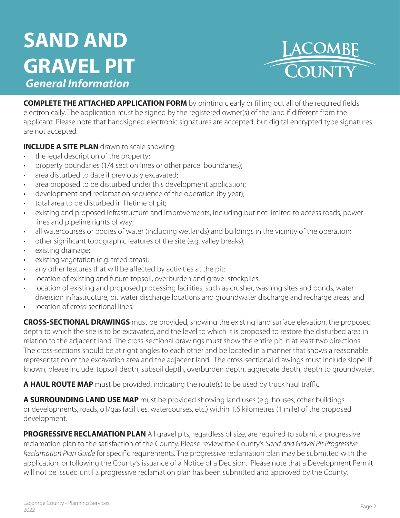## **SAND AND GRAVEL PIT**  *General Information*



**COMPLETE THE ATTACHED APPLICATION FORM** by printing clearly or filling out all of the required fields electronically. The application must be signed by the registered owner(s) of the land if different from the applicant. Please note that handsigned electronic signatures are accepted, but digital encrypted type signatures are not accepted.

**INCLUDE A SITE PLAN** drawn to scale showing:

- the legal description of the property;
- property boundaries (1/4 section lines or other parcel boundaries);
- area disturbed to date if previously excavated;
- area proposed to be disturbed under this development application;
- development and reclamation sequence of the operation (by year);
- total area to be disturbed in lifetime of pit;
- existing and proposed infrastructure and improvements, including but not limited to access roads, power lines and pipeline rights of way;
- all watercourses or bodies of water (including wetlands) and buildings in the vicinity of the operation;
- other significant topographic features of the site (e.g. valley breaks);
- existing drainage;
- existing vegetation (e.g. treed areas);
- any other features that will be affected by activities at the pit;
- location of existing and future topsoil, overburden and gravel stockpiles;
- location of existing and proposed processing facilities, such as crusher, washing sites and ponds, water diversion infrastructure, pit water discharge locations and groundwater discharge and recharge areas; and
- location of cross-sectional lines.

**CROSS-SECTIONAL DRAWINGS** must be provided, showing the existing land surface elevation, the proposed depth to which the site is to be excavated, and the level to which it is proposed to restore the disturbed area in relation to the adjacent land. The cross-sectional drawings must show the entire pit in at least two directions. The cross-sections should be at right angles to each other and be located in a manner that shows a reasonable representation of the excavation area and the adjacent land. The cross-sectional drawings must include slope. If known, please include: topsoil depth, subsoil depth, overburden depth, aggregate depth, depth to groundwater.

**A HAUL ROUTE MAP** must be provided, indicating the route(s) to be used by truck haul traffic.

**A SURROUNDING LAND USE MAP** must be provided showing land uses (e.g. houses, other buildings or developments, roads, oil/gas facilities, watercourses, etc.) within 1.6 kilometres (1 mile) of the proposed development.

**PROGRESSIVE RECLAMATION PLAN** All gravel pits, regardless of size, are required to submit a progressive reclamation plan to the satisfaction of the County. Please review the County's *Sand and Gravel Pit Progressive Reclamation Plan Guide* for specific requirements. The progressive reclamation plan may be submitted with the application, or following the County's issuance of a Notice of a Decision. Please note that a Development Permit will not be issued until a progressive reclamation plan has been submitted and approved by the County.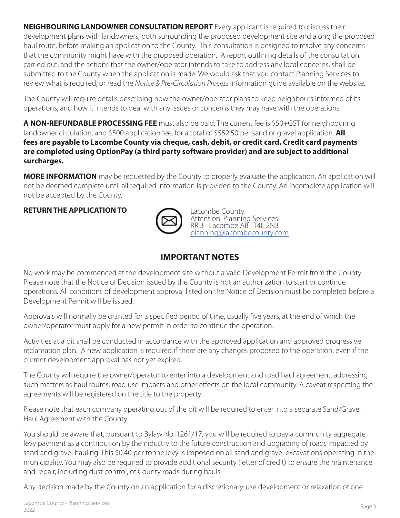**NEIGHBOURING LANDOWNER CONSULTATION REPORT** Every applicant is required to discuss their development plans with landowners, both surrounding the proposed development site and along the proposed haul route, before making an application to the County. This consultation is designed to resolve any concerns that the community might have with the proposed operation. A report outlining details of the consultation carried out, and the actions that the owner/operator intends to take to address any local concerns, shall be submitted to the County when the application is made. We would ask that you contact Planning Services to review what is required, or read the *Notice & Pre-Circulation Process* information guide available on the website.

The County will require details describing how the owner/operator plans to keep neighbours informed of its operations, and how it intends to deal with any issues or concerns they may have with the operations.

**A NON-REFUNDABLE PROCESSING FEE** must also be paid. The current fee is \$50+GST for neighbouring landowner circulation, and \$500 application fee, for a total of \$552.50 per sand or gravel application. **All fees are payable to Lacombe County via cheque, cash, debit, or credit card. Credit card payments are completed using OptionPay (a third party software provider) and are subject to additional surcharges.** 

**MORE INFORMATION** may be requested by the County to properly evaluate the application. An application will not be deemed complete until all required information is provided to the County. An incomplete application will not be accepted by the County.

**RETURN THE APPLICATION TO**



Lacombe County Attention: Planning Services RR 3 Lacombe AB T4L 2N3 [planning@lacombecounty.com](mailto:planning%40lacombecounty.com?subject=Development%20Application)

### **IMPORTANT NOTES**

No work may be commenced at the development site without a valid Development Permit from the County. Please note that the Notice of Decision issued by the County is not an authorization to start or continue operations. All conditions of development approval listed on the Notice of Decision must be completed before a Development Permit will be issued.

Approvals will normally be granted for a specified period of time, usually five years, at the end of which the owner/operator must apply for a new permit in order to continue the operation.

Activities at a pit shall be conducted in accordance with the approved application and approved progressive reclamation plan. A new application is required if there are any changes proposed to the operation, even if the current development approval has not yet expired.

The County will require the owner/operator to enter into a development and road haul agreement, addressing such matters as haul routes, road use impacts and other effects on the local community. A caveat respecting the agreements will be registered on the title to the property.

Please note that each company operating out of the pit will be required to enter into a separate Sand/Gravel Haul Agreement with the County.

You should be aware that, pursuant to Bylaw No. 1261/17, you will be required to pay a community aggregate levy payment as a contribution by the industry to the future construction and upgrading of roads impacted by sand and gravel hauling. This \$0.40 per tonne levy is imposed on all sand and gravel excavations operating in the municipality. You may also be required to provide additional security (letter of credit) to ensure the maintenance and repair, including dust control, of County roads during hauls.

Any decision made by the County on an application for a discretionary-use development or relaxation of one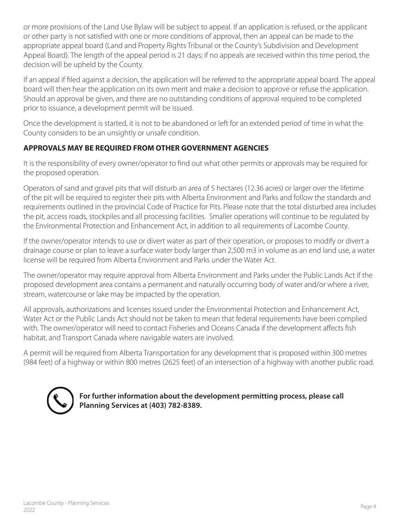or more provisions of the Land Use Bylaw will be subject to appeal. If an application is refused, or the applicant or other party is not satisfied with one or more conditions of approval, then an appeal can be made to the appropriate appeal board (Land and Property Rights Tribunal or the County's Subdivision and Development Appeal Board). The length of the appeal period is 21 days; if no appeals are received within this time period, the decision will be upheld by the County.

If an appeal if filed against a decision, the application will be referred to the appropriate appeal board. The appeal board will then hear the application on its own merit and make a decision to approve or refuse the application. Should an approval be given, and there are no outstanding conditions of approval required to be completed prior to issuance, a development permit will be issued.

Once the development is started, it is not to be abandoned or left for an extended period of time in what the County considers to be an unsightly or unsafe condition.

### **APPROVALS MAY BE REQUIRED FROM OTHER GOVERNMENT AGENCIES**

It is the responsibility of every owner/operator to find out what other permits or approvals may be required for the proposed operation.

Operators of sand and gravel pits that will disturb an area of 5 hectares (12.36 acres) or larger over the lifetime of the pit will be required to register their pits with Alberta Environment and Parks and follow the standards and requirements outlined in the provincial Code of Practice for Pits. Please note that the total disturbed area includes the pit, access roads, stockpiles and all processing facilities. Smaller operations will continue to be regulated by the Environmental Protection and Enhancement Act, in addition to all requirements of Lacombe County.

If the owner/operator intends to use or divert water as part of their operation, or proposes to modify or divert a drainage course or plan to leave a surface water body larger than 2,500 m3 in volume as an end land use, a water license will be required from Alberta Environment and Parks under the Water Act.

The owner/operator may require approval from Alberta Environment and Parks under the Public Lands Act if the proposed development area contains a permanent and naturally occurring body of water and/or where a river, stream, watercourse or lake may be impacted by the operation.

All approvals, authorizations and licenses issued under the Environmental Protection and Enhancement Act, Water Act or the Public Lands Act should not be taken to mean that federal requirements have been complied with. The owner/operator will need to contact Fisheries and Oceans Canada if the development affects fish habitat, and Transport Canada where navigable waters are involved.

A permit will be required from Alberta Transportation for any development that is proposed within 300 metres (984 feet) of a highway or within 800 metres (2625 feet) of an intersection of a highway with another public road.



**For further information about the development permitting process, please call Planning Services at (403) 782-8389.**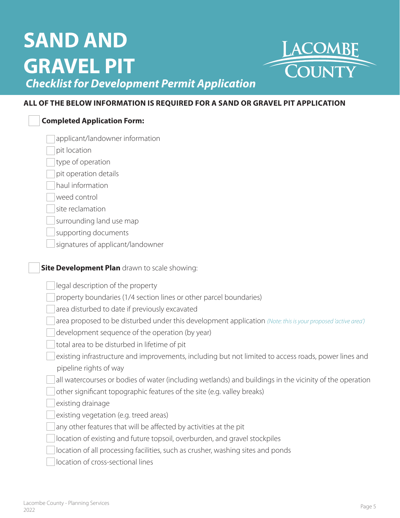# **SAND AND GRAVEL PIT**  *Checklist for Development Permit Application*



#### **ALL OF THE BELOW INFORMATION IS REQUIRED FOR A SAND OR GRAVEL PIT APPLICATION**

| <b>Completed Application Form:</b>                                                                                             |
|--------------------------------------------------------------------------------------------------------------------------------|
| applicant/landowner information                                                                                                |
| pit location                                                                                                                   |
| type of operation                                                                                                              |
| pit operation details                                                                                                          |
| haul information                                                                                                               |
| weed control                                                                                                                   |
| site reclamation                                                                                                               |
| surrounding land use map                                                                                                       |
| supporting documents                                                                                                           |
| signatures of applicant/landowner                                                                                              |
| Site Development Plan drawn to scale showing:                                                                                  |
| legal description of the property                                                                                              |
| property boundaries (1/4 section lines or other parcel boundaries)                                                             |
| area disturbed to date if previously excavated                                                                                 |
| area proposed to be disturbed under this development application (Note: this is your proposed 'active area')                   |
| development sequence of the operation (by year)                                                                                |
| total area to be disturbed in lifetime of pit                                                                                  |
| existing infrastructure and improvements, including but not limited to access roads, power lines and<br>pipeline rights of way |
| all watercourses or bodies of water (including wetlands) and buildings in the vicinity of the operation                        |
| other significant topographic features of the site (e.g. valley breaks)                                                        |
| existing drainage                                                                                                              |
| existing vegetation (e.g. treed areas)                                                                                         |
| any other features that will be affected by activities at the pit                                                              |
| location of existing and future topsoil, overburden, and gravel stockpiles                                                     |
| location of all processing facilities, such as crusher, washing sites and ponds                                                |
| location of cross-sectional lines                                                                                              |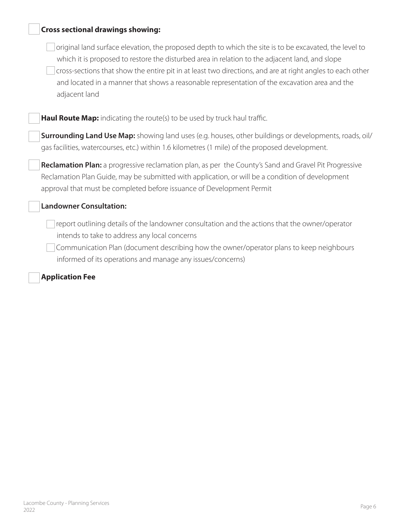| <b>Cross sectional drawings showing:</b>                                                                                                                                                                                                                                                                                                                                                                                                |
|-----------------------------------------------------------------------------------------------------------------------------------------------------------------------------------------------------------------------------------------------------------------------------------------------------------------------------------------------------------------------------------------------------------------------------------------|
| original land surface elevation, the proposed depth to which the site is to be excavated, the level to<br>which it is proposed to restore the disturbed area in relation to the adjacent land, and slope<br>cross-sections that show the entire pit in at least two directions, and are at right angles to each other<br>and located in a manner that shows a reasonable representation of the excavation area and the<br>adjacent land |
| Haul Route Map: indicating the route(s) to be used by truck haul traffic.                                                                                                                                                                                                                                                                                                                                                               |
| <b>Surrounding Land Use Map:</b> showing land uses (e.g. houses, other buildings or developments, roads, oil/<br>gas facilities, watercourses, etc.) within 1.6 kilometres (1 mile) of the proposed development.                                                                                                                                                                                                                        |
| <b>Reclamation Plan:</b> a progressive reclamation plan, as per the County's Sand and Gravel Pit Progressive<br>Reclamation Plan Guide, may be submitted with application, or will be a condition of development<br>approval that must be completed before issuance of Development Permit                                                                                                                                               |
| <b>Landowner Consultation:</b>                                                                                                                                                                                                                                                                                                                                                                                                          |
| report outlining details of the landowner consultation and the actions that the owner/operator<br>intends to take to address any local concerns<br>Communication Plan (document describing how the owner/operator plans to keep neighbours<br>informed of its operations and manage any issues/concerns)                                                                                                                                |

**Application Fee**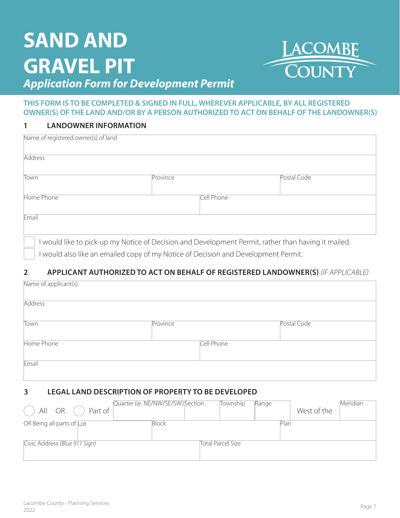# **SAND AND GRAVEL PIT** *Application Form for Development Permit*



#### **THIS FORM IS TO BE COMPLETED & SIGNED IN FULL, WHEREVER APPLICABLE, BY ALL REGISTERED OWNER(S) OF THE LAND AND/OR BY A PERSON AUTHORIZED TO ACT ON BEHALF OF THE LANDOWNER(S)**

#### **1 LANDOWNER INFORMATION**

| Name of registered owner(s) of land                                                               |          |            |             |
|---------------------------------------------------------------------------------------------------|----------|------------|-------------|
| <b>Address</b>                                                                                    |          |            |             |
| Town                                                                                              | Province |            | Postal Code |
| Home Phone                                                                                        |          | Cell Phone |             |
| Email                                                                                             |          |            |             |
| would like to pick-up my Notice of Decision and Development Permit, rather than having it mailed. |          |            |             |

I would also like an emailed copy of my Notice of Decision and Development Permit.

#### **2 APPLICANT AUTHORIZED TO ACT ON BEHALF OF REGISTERED LANDOWNER(S)** *(IF APPLICABLE)*

| Name of applicant(s) |          |            |             |
|----------------------|----------|------------|-------------|
| <b>Address</b>       |          |            |             |
| Town                 | Province |            | Postal Code |
| Home Phone           |          | Cell Phone |             |
| Email                |          |            |             |
|                      |          |            |             |

#### **3 LEGAL LAND DESCRIPTION OF PROPERTY TO BE DEVELOPED**

| Part of<br>All<br><b>OR</b>   | Quarter (ie. NE/NW/SE/SW) Section | Township          | Range | West of the | Meridian |
|-------------------------------|-----------------------------------|-------------------|-------|-------------|----------|
| OR Being all parts of Lot     | <b>Block</b>                      |                   | Plan  |             |          |
| Civic Address (Blue 911 Sign) |                                   | Total Parcel Size |       |             |          |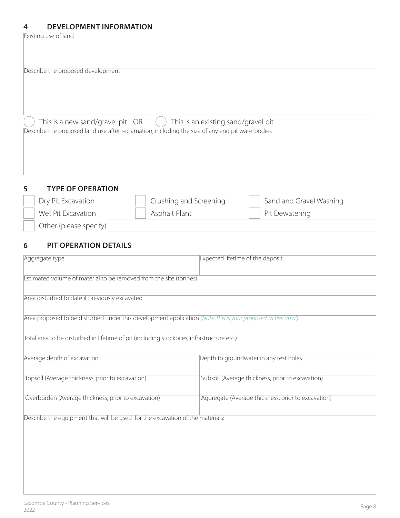#### **4 DEVELOPMENT INFORMATION**

Existing use of land

| Describe the proposed development                                                                                         |
|---------------------------------------------------------------------------------------------------------------------------|
|                                                                                                                           |
| This is a new sand/gravel pit OR<br>This is an existing sand/gravel pit<br>$\begin{pmatrix} 1 & 1 \\ 1 & 1 \end{pmatrix}$ |
| Describe the proposed land use after reclamation, including the size of any end pit waterbodies                           |
|                                                                                                                           |
|                                                                                                                           |

| -5 | <b>TYPE OF OPERATION</b> |                        |                         |
|----|--------------------------|------------------------|-------------------------|
|    | Dry Pit Excavation       | Crushing and Screening | Sand and Gravel Washing |
|    | Wet Pit Excavation       | Asphalt Plant          | Pit Dewatering          |
|    | Other (please specify)   |                        |                         |

### **6 PIT OPERATION DETAILS**

| Aggregate type                                                                                               | Expected lifetime of the deposit                   |
|--------------------------------------------------------------------------------------------------------------|----------------------------------------------------|
| Estimated volume of material to be removed from the site (tonnes)                                            |                                                    |
| Area disturbed to date if previously excavated                                                               |                                                    |
| Area proposed to be disturbed under this development application (Note: this is your proposed 'active area') |                                                    |
| Total area to be disturbed in lifetime of pit (including stockpiles, infrastructure etc.)                    |                                                    |
| Average depth of excavation                                                                                  | Depth to groundwater in any test holes             |
| Topsoil (Average thickness, prior to excavation)                                                             | Subsoil (Average thickness, prior to excavation)   |
| Overburden (Average thickness, prior to excavation)                                                          | Aggregate (Average thickness, prior to excavation) |
| Describe the equipment that will be used for the excavation of the materials:                                |                                                    |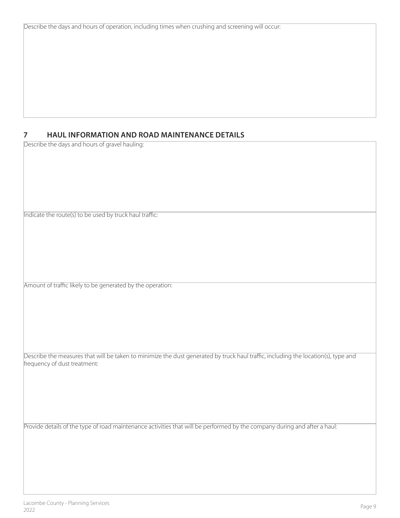Describe the days and hours of operation, including times when crushing and screening will occur:

#### **7 HAUL INFORMATION AND ROAD MAINTENANCE DETAILS**

Describe the days and hours of gravel hauling:

Indicate the route(s) to be used by truck haul traffic:

Amount of traffic likely to be generated by the operation:

Describe the measures that will be taken to minimize the dust generated by truck haul traffic, including the location(s), type and frequency of dust treatment:

Provide details of the type of road maintenance activities that will be performed by the company during and after a haul: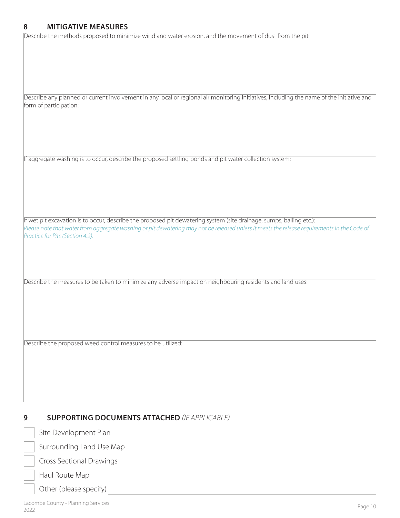#### **8 MITIGATIVE MEASURES**

Describe the methods proposed to minimize wind and water erosion, and the movement of dust from the pit:

| Describe any planned or current involvement in any local or regional air monitoring initiatives, including the name of the initiative and<br>form of participation:                                                                                                                                     |
|---------------------------------------------------------------------------------------------------------------------------------------------------------------------------------------------------------------------------------------------------------------------------------------------------------|
|                                                                                                                                                                                                                                                                                                         |
|                                                                                                                                                                                                                                                                                                         |
| If aggregate washing is to occur, describe the proposed settling ponds and pit water collection system:                                                                                                                                                                                                 |
|                                                                                                                                                                                                                                                                                                         |
|                                                                                                                                                                                                                                                                                                         |
|                                                                                                                                                                                                                                                                                                         |
|                                                                                                                                                                                                                                                                                                         |
| If wet pit excavation is to occur, describe the proposed pit dewatering system (site drainage, sumps, bailing etc.):<br>Please note that water from aggregate washing or pit dewatering may not be released unless it meets the release requirements in the Code of<br>Practice for Pits (Section 4.2). |
|                                                                                                                                                                                                                                                                                                         |
|                                                                                                                                                                                                                                                                                                         |
|                                                                                                                                                                                                                                                                                                         |
| Describe the measures to be taken to minimize any adverse impact on neighbouring residents and land uses:                                                                                                                                                                                               |
|                                                                                                                                                                                                                                                                                                         |
|                                                                                                                                                                                                                                                                                                         |
|                                                                                                                                                                                                                                                                                                         |
| Describe the proposed weed control measures to be utilized:                                                                                                                                                                                                                                             |
|                                                                                                                                                                                                                                                                                                         |
|                                                                                                                                                                                                                                                                                                         |
|                                                                                                                                                                                                                                                                                                         |

#### **9 SUPPORTING DOCUMENTS ATTACHED** *(IF APPLICABLE)*

| Site Development Plan           |
|---------------------------------|
| Surrounding Land Use Map        |
| <b>Cross Sectional Drawings</b> |
| Haul Route Map                  |

Other (please specify)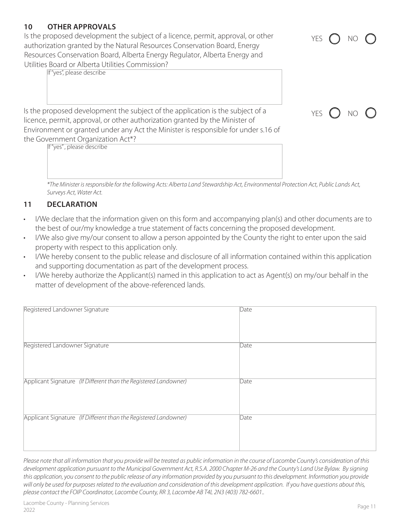### **10 OTHER APPROVALS**

Is the proposed development the subject of a licence, permit, approval, or other authorization granted by the Natural Resources Conservation Board, Energy Resources Conservation Board, Alberta Energy Regulator, Alberta Energy and Utilities Board or Alberta Utilities Commission?

If "yes", please describe

Is the proposed development the subject of the application is the subject of a licence, permit, approval, or other authorization granted by the Minister of Environment or granted under any Act the Minister is responsible for under s.16 of the Government Organization Act\*?

If "yes" , please describe

*\*The Minister is responsible for the following Acts: Alberta Land Stewardship Act, Environmental Protection Act, Public Lands Act, Surveys Act, Water Act.* 

#### **11 DECLARATION**

- I/We declare that the information given on this form and accompanying plan(s) and other documents are to the best of our/my knowledge a true statement of facts concerning the proposed development.
- I/We also give my/our consent to allow a person appointed by the County the right to enter upon the said property with respect to this application only.
- I/We hereby consent to the public release and disclosure of all information contained within this application and supporting documentation as part of the development process.
- I/We hereby authorize the Applicant(s) named in this application to act as Agent(s) on my/our behalf in the matter of development of the above-referenced lands.

| Registered Landowner Signature                                   | Date |
|------------------------------------------------------------------|------|
| Registered Landowner Signature                                   | Date |
| Applicant Signature (If Different than the Registered Landowner) | Date |
| Applicant Signature (If Different than the Registered Landowner) | Date |

*Please note that all information that you provide will be treated as public information in the course of Lacombe County's consideration of this development application pursuant to the Municipal Government Act, R.S.A. 2000 Chapter M-26 and the County's Land Use Bylaw. By signing this application, you consent to the public release of any information provided by you pursuant to this development. Information you provide will only be used for purposes related to the evaluation and consideration of this development application. If you have questions about this, please contact the FOIP Coordinator, Lacombe County, RR 3, Lacombe AB T4L 2N3 (403) 782-6601..*



YES ( ) NO